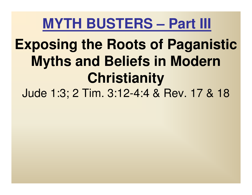# **Exposing the Roots of Paganistic Myths and Beliefs in Modern Christianity**

Jude 1:3; 2 Tim. 3:12-4:4 & Rev. 17 & 18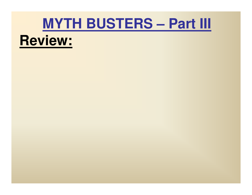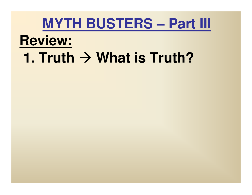#### **Review:**

# **1. Truth → What is Truth?**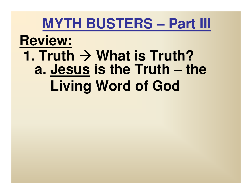# **Review:1. Truth → What is Truth?**<br>**2. Jesus is the Truth – tl a. Jesus is the Truth – the Living Word of God**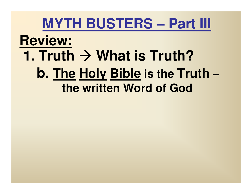#### **MYTH BUSTERS – Part III Review:1. Truth → What is Truth?**<br> **h** The Holy Rible is the Tru **b. The Holy Bible is the Truth–the written Word of God**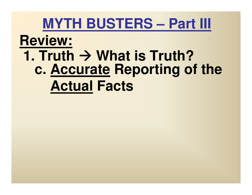# **Review:1. Truth**  $\rightarrow$  **What is Truth? c. Accurate Reporting of the Actual Facts**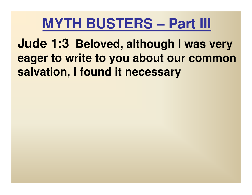**Jude 1:3 Beloved, although I was very eager to write to you about our common salvation, I found it necessary**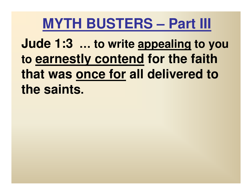**Jude 1:3 … to write appealing to you to earnestly contend for the faith that was once for all delivered to the saints.**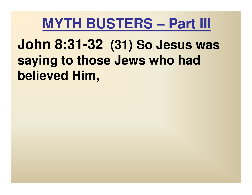# **John 8:31-32 (31) So Jesus was saying to those Jews who had believed Him,**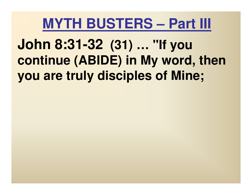**John 8:31-32 (31) … "If you continue (ABIDE) in My word, then you are truly disciples of Mine;**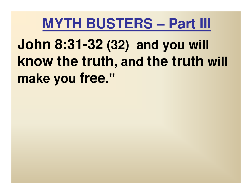**John 8:31-32 (32) and you will know the truth, and the truth will make you free."**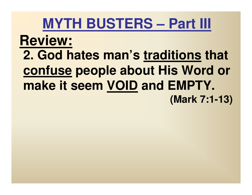#### **Review:2. God hates man's traditions that confuse people about His Word or make it seem VOID and EMPTY. (Mark 7:1-13)**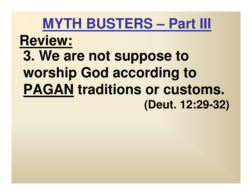# **Review:3. We are not suppose to worship God according to PAGAN traditions or customs. (Deut. 12:29-32)**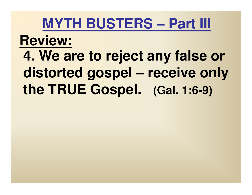**Review:4. We are to reject any false or distorted gospel – receive only the TRUE Gospel. (Gal. 1:6-9)**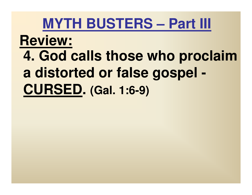# **Review: 4. God calls those who proclaim a distorted or false gospel -CURSED. (Gal. 1:6-9)**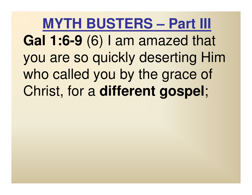**MYTH BUSTERS – Part III Gal 1:6-9** (6) I am amazed that you are so quickly deserting Him who called you by the grace of Christ, for a **different gospel**;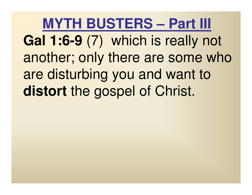**MYTH BUSTERS – Part III Gal 1:6-9** (7) which is really not another; only there are some who are disturbing you and want to **distort** the gospel of Christ.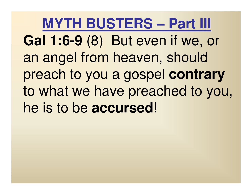**MYTH BUSTERS – Part III Gal 1:6-9** (8) But even if we, or an angel from heaven, should preach to you a gospel **contrary** to what we have preached to you, he is to be **accursed**!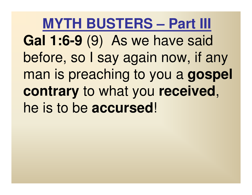**MYTH BUSTERS – Part III Gal 1:6-9** (9) As we have said before, so I say again now, if any man is preaching to you a **gospelcontrary** to what you **received**, he is to be **accursed**!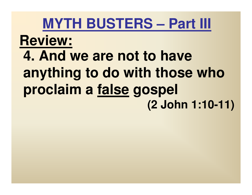# **Review: 4. And we are not to have anything to do with those who proclaim a false gospel (2 John 1:10-11)**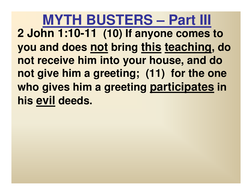**MYTH BUSTERS – Part III 2 John 1:10-11 (10) If anyone comes to you and does not bring this teaching, do not receive him into your house, and do not give him a greeting; (11) for the one who gives him a greeting participates in his evil deeds.**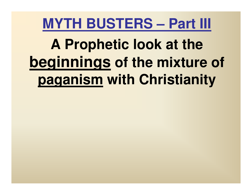**A Prophetic look at the beginnings of the mixture of paganism with Christianity**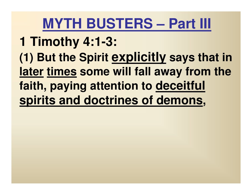#### **1 Timothy 4:1-3:**

**(1) But the Spirit explicitly says that in later times some will fall away from the faith, paying attention to deceitful spirits and doctrines of demons,**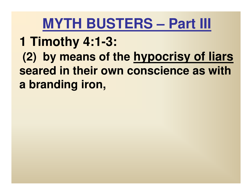#### **1 Timothy 4:1-3:**

**(2) by means of the hypocrisy of liars seared in their own conscience as with a branding iron,**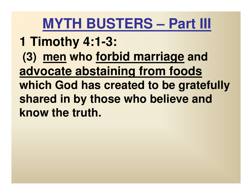- **1 Timothy 4:1-3:**
- **(3) men who forbid marriage and advocate abstaining from foods which God has created to be gratefully shared in by those who believe and know the truth.**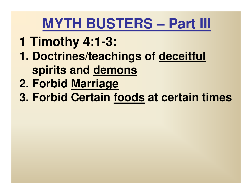- **1 Timothy 4:1-3:**
- **1. Doctrines/teachings of deceitfulspirits and demons**
- **2. Forbid Marriage**
- **3. Forbid Certain foods at certain times**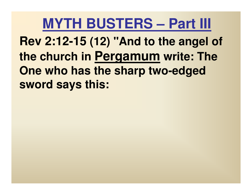**Rev 2:12-15 (12) "And to the angel of the church in Pergamum write: The One who has the sharp two-edged sword says this:**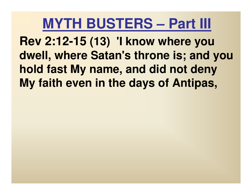**Rev 2:12-15 (13) 'I know where you dwell, where Satan's throne is; and you hold fast My name, and did not deny My faith even in the days of Antipas,**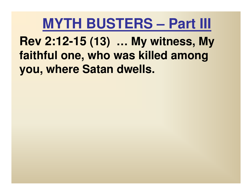**Rev 2:12-15 (13) … My witness, My faithful one, who was killed among you, where Satan dwells.**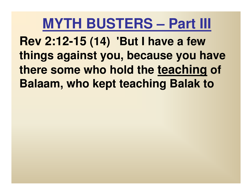**Rev 2:12-15 (14) 'But I have a few things against you, because you have there some who hold the teaching of Balaam, who kept teaching Balak to**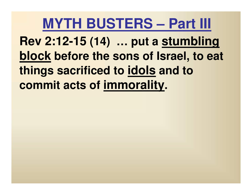**Rev 2:12-15 (14) … put a stumbling block before the sons of Israel, to eat things sacrificed to idols and to commit acts of immorality.**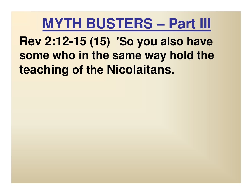**Rev 2:12-15 (15) 'So you also have some who in the same way hold the teaching of the Nicolaitans .**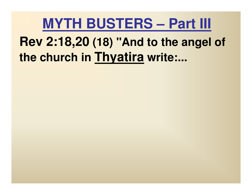# **Rev 2:18,20 (18) "And to the angel of the church in Thyatira write:...**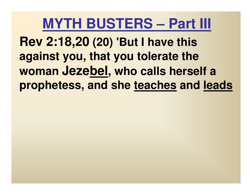**Rev 2:18,20 (20) 'But I have this against you, that you tolerate the woman Jezebel, who calls herself a prophetess, and she teaches and leads**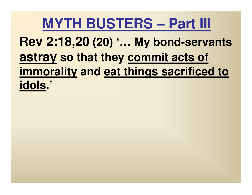**Rev 2:18,20 (20) '… My bond-servants astray so that they commit acts of immorality and eat things sacrificed to idols.'**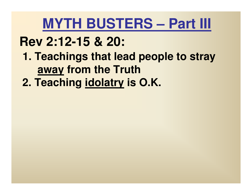- **Rev 2:12-15 & 20:**
	- **1. Teachings that lead people to stray away from the Truth**
	- **2. Teaching idolatry is O.K.**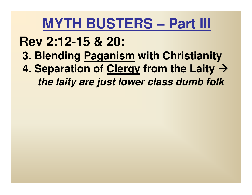**Rev 2:12-15 & 20:3. Blending Paganism with Christianity 4. Separation of Clergy from the Laity the laity are just lower class dumb folk**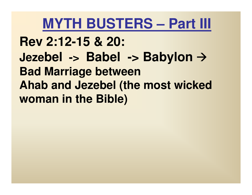**Rev 2:12-15 & 20:Jezebel -> Babel -> Babylon Bad Marriage between Ahab and Jezebel (the most wicked woman in the Bible)**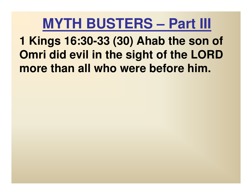**1 Kings 16:30-33 (30) Ahab the son of Omri did evil in the sight of the LORD more than all who were before him.**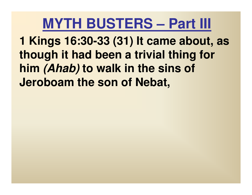**1 Kings 16:30-33 (31) It came about, as though it had been a trivial thing for him (Ahab) to walk in the sins of Jeroboam the son of Nebat,**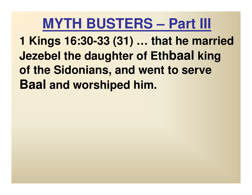**1 Kings 16:30-33 (31) … that he married Jezebel the daughter of Ethbaal king of the Sidonians, and went to serve Baal and worshiped him.**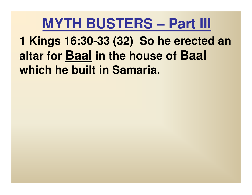**1 Kings 16:30-33 (32) So he erected an altar for Baal in the house of Baal which he built in Samaria.**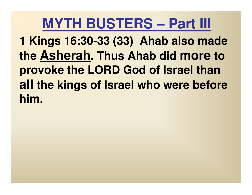**1 Kings 16:30-33 (33) Ahab also made the Asherah. Thus Ahab did more to provoke the LORD God of Israel than all the kings of Israel who were before him.**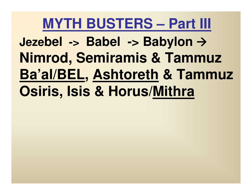**Jezebel -> Babel -> Babylon Nimrod, Semiramis & Tammuz Ba'al/BEL, Ashtoreth & Tammuz Osiris, Isis & Horus/Mithra**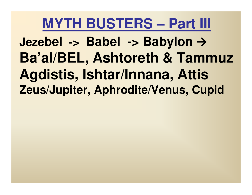**Jezebel -> Babel -> Babylon Ba'al/BEL, Ashtoreth & TammuzAgdistis, Ishtar/Innana, AttisZeus/Jupiter, Aphrodite/Venus, Cupid**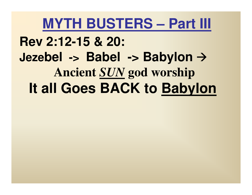**Rev 2:12-15 & 20:Jezebel -> Babel -> Babylon Ancient** *SUN* **god worship It all Goes BACK to Babylon**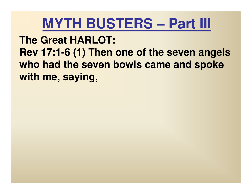**The Great HARLOT:Rev 17:1-6 (1) Then one of the seven angels who had the seven bowls came and spoke with me, saying,**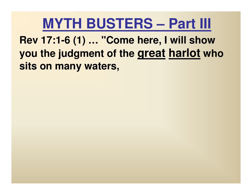**Rev 17:1-6 (1) … "Come here, I will show you the judgment of the great harlot who sits on many waters,**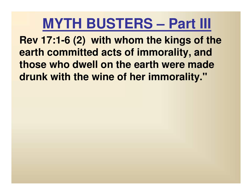**Rev 17:1-6 (2) with whom the kings of the earth committed acts of immorality, and those who dwell on the earth were made drunk with the wine of her immorality."**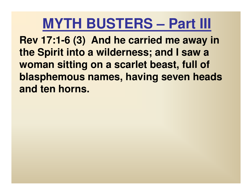**Rev 17:1-6 (3) And he carried me away in the Spirit into a wilderness; and I saw a woman sitting on a scarlet beast, full of blasphemous names, having seven heads and ten horns.**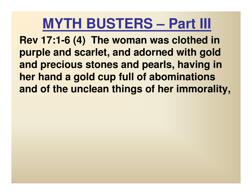**Rev 17:1-6 (4) The woman was clothed in purple and scarlet, and adorned with gold and precious stones and pearls, having in her hand a gold cup full of abominations and of the unclean things of her immorality,**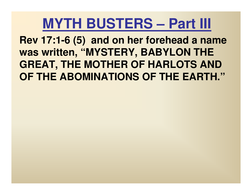**Rev 17:1-6 (5) and on her forehead a name was written, "MYSTERY, BABYLON THE GREAT, THE MOTHER OF HARLOTS AND OF THE ABOMINATIONS OF THE EARTH."**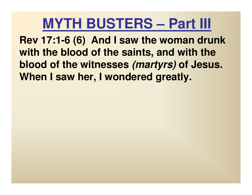**Rev 17:1-6 (6) And I saw the woman drunk with the blood of the saints, and with the blood of the witnesses (martyrs) of Jesus. When I saw her, I wondered greatly.**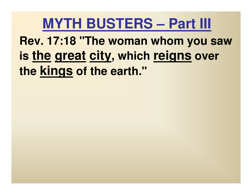**Rev. 17:18 "The woman whom you saw is the great city, which reigns over the kings of the earth."**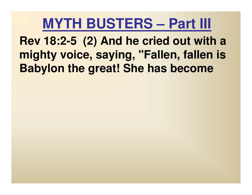**Rev 18:2-5 (2) And he cried out with a mighty voice, saying, "Fallen, fallen is Babylon the great! She has become**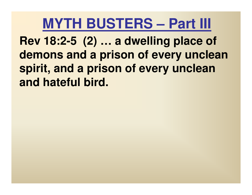**Rev 18:2-5 (2) … a dwelling place of demons and a prison of every unclean spirit, and a prison of every unclean and hateful bird.**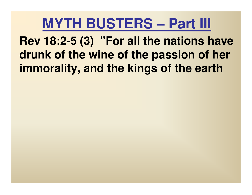**Rev 18:2-5 (3) "For all the nations have drunk of the wine of the passion of her immorality, and the kings of the earth**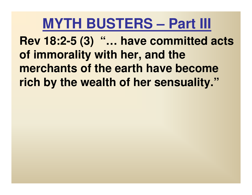**Rev 18:2-5 (3) "… have committed acts of immorality with her, and the merchants of the earth have become rich by the wealth of her sensuality."**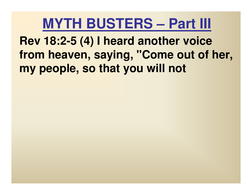**Rev 18:2-5 (4) I heard another voice from heaven, saying, "Come out of her, my people, so that you will not**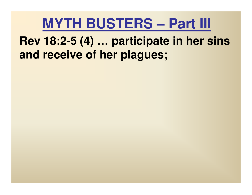**Rev 18:2-5 (4) … participate in her sins and receive of her plagues;**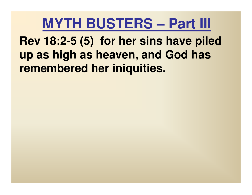**Rev 18:2-5 (5) for her sins have piled up as high as heaven, and God has remembered her iniquities.**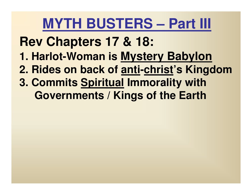**Rev Chapters 17 & 18:**

- **1. Harlot-Woman is Mystery Babylon**
- **2. Rides on back of anti-christ's Kingdom**
- **3. Commits Spiritual Immorality with Governments / Kings of the Earth**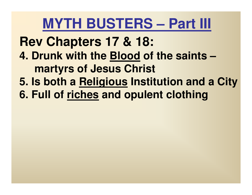**Rev Chapters 17 & 18:4. Drunk with the Blood of the saints – martyrs of Jesus Christ5. Is both a Religious Institution and a City 6. Full of riches and opulent clothing**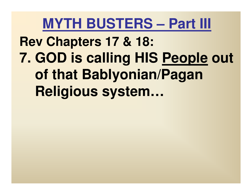**Rev Chapters 17 & 18:7. GOD is calling HIS People out of that Bablyonian/Pagan Religious system…**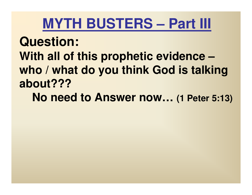**Question: With all of this prophetic evidence – who / what do you think God is talking about???** 

**No need to Answer now… (1 Peter 5:13)**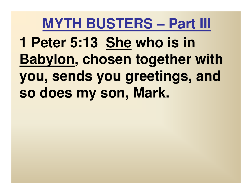**1 Peter 5:13 She who is in Babylon, chosen together with you, sends you greetings, and so does my son, Mark.**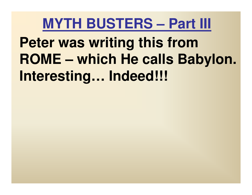**Peter was writing this from ROME – which He calls Babylon. Interesting… Indeed!!!**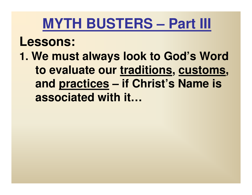#### **Lessons:**

**1. We must always look to God's Word to evaluate our traditions, customs, and practices – if Christ's Name is associated with it…**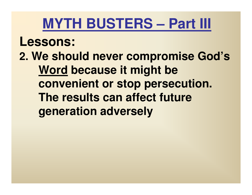#### **Lessons:**

**2. We should never compromise God's Word because it might be convenient or stop persecution. The results can affect future generation adversely**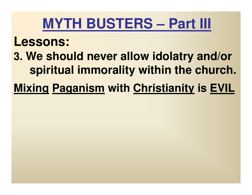#### **Lessons:**

- **3. We should never allow idolatry and/or spiritual immorality within the church.**
- **Mixing Paganism with Christianity is EVIL**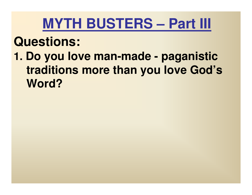#### **Questions:**

**1. Do you love man-made - paganistic traditions more than you love God's Word?**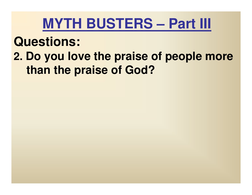## **MYTH BUSTERS – Part III**

## **Questions:**

**2. Do you love the praise of people more than the praise of God?**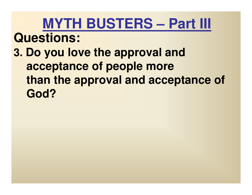## **MYTH BUSTERS – Part III Questions:3. Do you love the approval and acceptance of people more than the approval and acceptance of God?**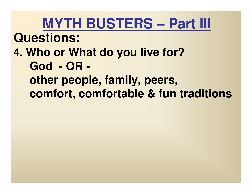**MYTH BUSTERS – Part III Questions:4. Who or What do you live for?God - OR other people, family, peers, comfort, comfortable & fun traditions**